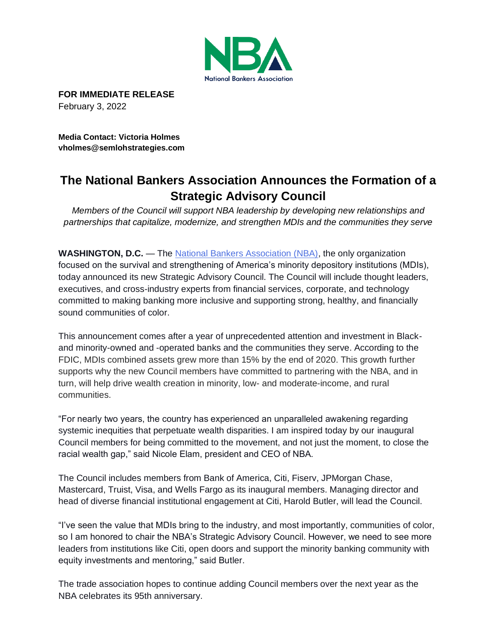

**FOR IMMEDIATE RELEASE** February 3, 2022

**Media Contact: Victoria Holmes vholmes@semlohstrategies.com**

# **The National Bankers Association Announces the Formation of a Strategic Advisory Council**

*Members of the Council will support NBA leadership by developing new relationships and partnerships that capitalize, modernize, and strengthen MDIs and the communities they serve*

**WASHINGTON, D.C.** — The [National Bankers Association \(NBA\),](https://www.nationalbankers.org/) the only organization focused on the survival and strengthening of America's minority depository institutions (MDIs), today announced its new Strategic Advisory Council. The Council will include thought leaders, executives, and cross-industry experts from financial services, corporate, and technology committed to making banking more inclusive and supporting strong, healthy, and financially sound communities of color.

This announcement comes after a year of unprecedented attention and investment in Blackand minority-owned and -operated banks and the communities they serve. According to the FDIC, MDIs combined assets grew more than 15% by the end of 2020. This growth further supports why the new Council members have committed to partnering with the NBA, and in turn, will help drive wealth creation in minority, low- and moderate-income, and rural communities.

"For nearly two years, the country has experienced an unparalleled awakening regarding systemic inequities that perpetuate wealth disparities. I am inspired today by our inaugural Council members for being committed to the movement, and not just the moment, to close the racial wealth gap," said Nicole Elam, president and CEO of NBA.

The Council includes members from Bank of America, Citi, Fiserv, JPMorgan Chase, Mastercard, Truist, Visa, and Wells Fargo as its inaugural members. Managing director and head of diverse financial institutional engagement at Citi, Harold Butler, will lead the Council.

"I've seen the value that MDIs bring to the industry, and most importantly, communities of color, so I am honored to chair the NBA's Strategic Advisory Council. However, we need to see more leaders from institutions like Citi, open doors and support the minority banking community with equity investments and mentoring," said Butler.

The trade association hopes to continue adding Council members over the next year as the NBA celebrates its 95th anniversary.